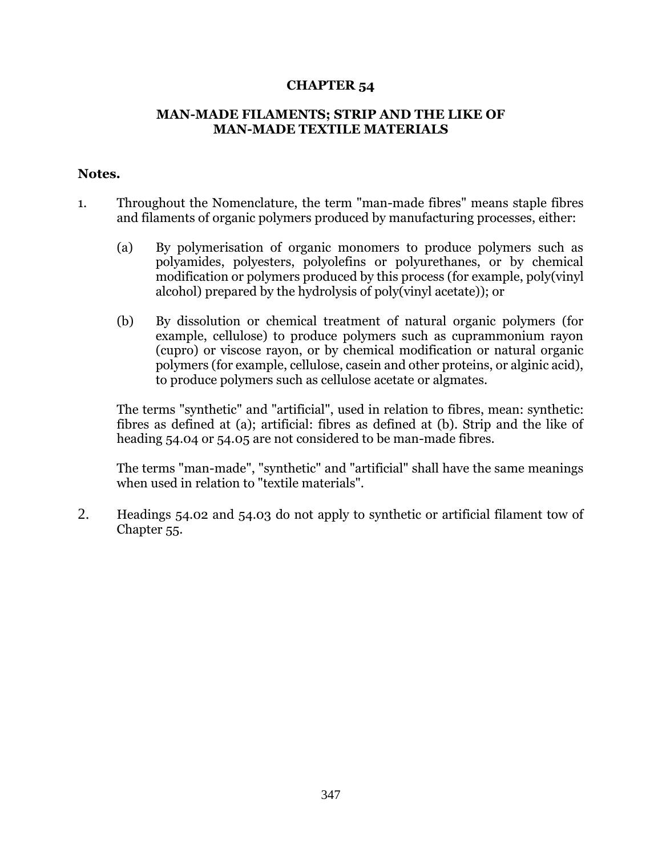## **CHAPTER 54**

## **MAN-MADE FILAMENTS; STRIP AND THE LIKE OF MAN-MADE TEXTILE MATERIALS**

## **Notes.**

- 1. Throughout the Nomenclature, the term "man-made fibres" means staple fibres and filaments of organic polymers produced by manufacturing processes, either:
	- (a) By polymerisation of organic monomers to produce polymers such as polyamides, polyesters, polyolefins or polyurethanes, or by chemical modification or polymers produced by this process (for example, poly(vinyl alcohol) prepared by the hydrolysis of poly(vinyl acetate)); or
	- (b) By dissolution or chemical treatment of natural organic polymers (for example, cellulose) to produce polymers such as cuprammonium rayon (cupro) or viscose rayon, or by chemical modification or natural organic polymers (for example, cellulose, casein and other proteins, or alginic acid), to produce polymers such as cellulose acetate or algmates.

The terms "synthetic" and "artificial", used in relation to fibres, mean: synthetic: fibres as defined at (a); artificial: fibres as defined at (b). Strip and the like of heading 54.04 or 54.05 are not considered to be man-made fibres.

The terms "man-made", "synthetic" and "artificial" shall have the same meanings when used in relation to "textile materials".

2. Headings 54.02 and 54.03 do not apply to synthetic or artificial filament tow of Chapter 55.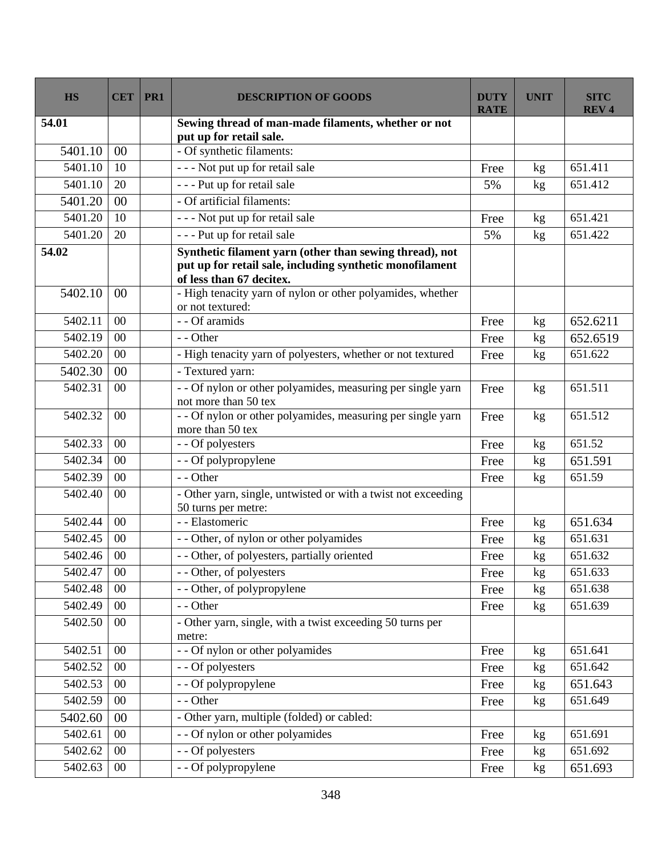| <b>HS</b> | <b>CET</b> | PR1 | <b>DESCRIPTION OF GOODS</b>                                                                                                                     | <b>DUTY</b><br><b>RATE</b> | <b>UNIT</b>     | <b>SITC</b><br><b>REV4</b> |
|-----------|------------|-----|-------------------------------------------------------------------------------------------------------------------------------------------------|----------------------------|-----------------|----------------------------|
| 54.01     |            |     | Sewing thread of man-made filaments, whether or not<br>put up for retail sale.                                                                  |                            |                 |                            |
| 5401.10   | 00         |     | - Of synthetic filaments:                                                                                                                       |                            |                 |                            |
| 5401.10   | 10         |     | --- Not put up for retail sale                                                                                                                  | Free                       | kg              | 651.411                    |
| 5401.10   | 20         |     | - - - Put up for retail sale                                                                                                                    | 5%                         | kg              | 651.412                    |
| 5401.20   | 00         |     | - Of artificial filaments:                                                                                                                      |                            |                 |                            |
| 5401.20   | 10         |     | - - - Not put up for retail sale                                                                                                                | Free                       | kg              | 651.421                    |
| 5401.20   | 20         |     | - - - Put up for retail sale                                                                                                                    | 5%                         | kg              | 651.422                    |
| 54.02     |            |     | Synthetic filament yarn (other than sewing thread), not<br>put up for retail sale, including synthetic monofilament<br>of less than 67 decitex. |                            |                 |                            |
| 5402.10   | 00         |     | - High tenacity yarn of nylon or other polyamides, whether<br>or not textured:                                                                  |                            |                 |                            |
| 5402.11   | 00         |     | - - Of aramids                                                                                                                                  | Free                       | kg              | 652.6211                   |
| 5402.19   | 00         |     | - - Other                                                                                                                                       | Free                       | kg              | 652.6519                   |
| 5402.20   | 00         |     | - High tenacity yarn of polyesters, whether or not textured                                                                                     | Free                       | kg              | 651.622                    |
| 5402.30   | 00         |     | - Textured yarn:                                                                                                                                |                            |                 |                            |
| 5402.31   | 00         |     | - - Of nylon or other polyamides, measuring per single yarn<br>not more than 50 tex                                                             | Free                       | kg              | 651.511                    |
| 5402.32   | 00         |     | - - Of nylon or other polyamides, measuring per single yarn<br>more than 50 tex                                                                 | Free                       | kg              | 651.512                    |
| 5402.33   | 00         |     | - - Of polyesters                                                                                                                               | Free                       | kg              | 651.52                     |
| 5402.34   | 00         |     | - - Of polypropylene                                                                                                                            | Free                       | kg              | 651.591                    |
| 5402.39   | 00         |     | - - Other                                                                                                                                       | Free                       | kg              | 651.59                     |
| 5402.40   | 00         |     | - Other yarn, single, untwisted or with a twist not exceeding<br>50 turns per metre:                                                            |                            |                 |                            |
| 5402.44   | 00         |     | - - Elastomeric                                                                                                                                 | Free                       | kg              | 651.634                    |
| 5402.45   | 00         |     | - - Other, of nylon or other polyamides                                                                                                         | Free                       | kg              | 651.631                    |
| 5402.46   | 00         |     | - - Other, of polyesters, partially oriented                                                                                                    | Free                       | kg              | 651.632                    |
| 5402.47   | $00\,$     |     | - - Other, of polyesters                                                                                                                        | Free                       | kg              | 651.633                    |
| 5402.48   | $00\,$     |     | - - Other, of polypropylene                                                                                                                     | Free                       | kg              | 651.638                    |
| 5402.49   | $00\,$     |     | - - Other                                                                                                                                       | Free                       | kg <sub>2</sub> | 651.639                    |
| 5402.50   | $00\,$     |     | - Other yarn, single, with a twist exceeding 50 turns per<br>metre:                                                                             |                            |                 |                            |
| 5402.51   | $00\,$     |     | - - Of nylon or other polyamides                                                                                                                | Free                       | kg              | 651.641                    |
| 5402.52   | $00\,$     |     | - - Of polyesters                                                                                                                               | Free                       | kg              | 651.642                    |
| 5402.53   | $00\,$     |     | - - Of polypropylene                                                                                                                            | Free                       | kg <sub>2</sub> | 651.643                    |
| 5402.59   | $00\,$     |     | - - Other                                                                                                                                       | Free                       | kg              | 651.649                    |
| 5402.60   | 00         |     | - Other yarn, multiple (folded) or cabled:                                                                                                      |                            |                 |                            |
| 5402.61   | $00\,$     |     | - - Of nylon or other polyamides                                                                                                                | Free                       | kg              | 651.691                    |
| 5402.62   | $00\,$     |     | - - Of polyesters                                                                                                                               | Free                       | kg              | 651.692                    |
| 5402.63   | $00\,$     |     | - - Of polypropylene                                                                                                                            | Free                       | kg              | 651.693                    |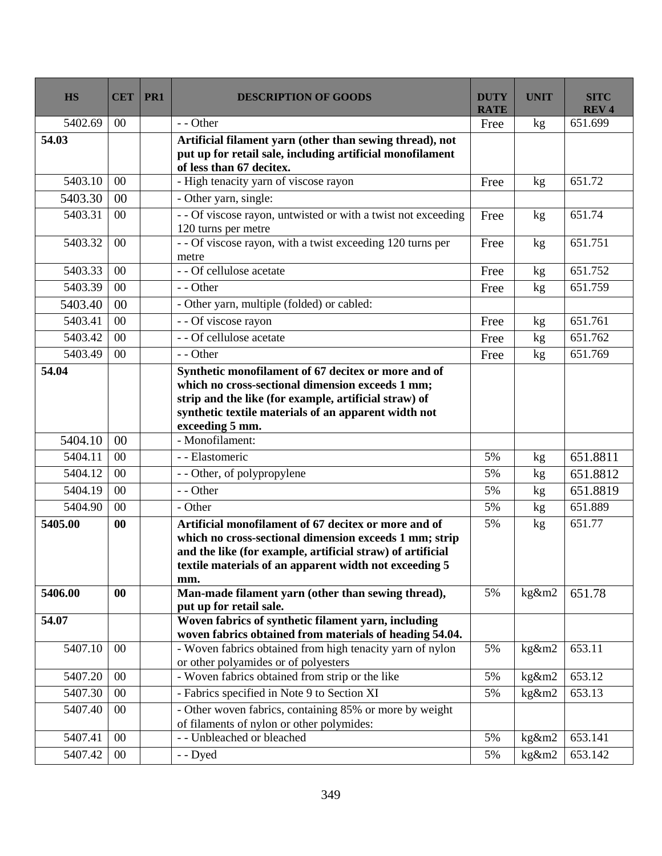| <b>HS</b> | <b>CET</b> | PR1 | <b>DESCRIPTION OF GOODS</b>                                                                                                                                                                                                                   | <b>DUTY</b><br><b>RATE</b> | <b>UNIT</b> | <b>SITC</b><br><b>REV4</b> |
|-----------|------------|-----|-----------------------------------------------------------------------------------------------------------------------------------------------------------------------------------------------------------------------------------------------|----------------------------|-------------|----------------------------|
| 5402.69   | $00\,$     |     | - - Other                                                                                                                                                                                                                                     | Free                       | kg          | 651.699                    |
| 54.03     |            |     | Artificial filament yarn (other than sewing thread), not<br>put up for retail sale, including artificial monofilament<br>of less than 67 decitex.                                                                                             |                            |             |                            |
| 5403.10   | 00         |     | - High tenacity yarn of viscose rayon                                                                                                                                                                                                         | Free                       | kg          | 651.72                     |
| 5403.30   | 00         |     | - Other yarn, single:                                                                                                                                                                                                                         |                            |             |                            |
| 5403.31   | $00\,$     |     | -- Of viscose rayon, untwisted or with a twist not exceeding<br>120 turns per metre                                                                                                                                                           | Free                       | kg          | 651.74                     |
| 5403.32   | $00\,$     |     | - - Of viscose rayon, with a twist exceeding 120 turns per<br>metre                                                                                                                                                                           | Free                       | kg          | 651.751                    |
| 5403.33   | $00\,$     |     | - - Of cellulose acetate                                                                                                                                                                                                                      | Free                       | kg          | 651.752                    |
| 5403.39   | 00         |     | - - Other                                                                                                                                                                                                                                     | Free                       | kg          | 651.759                    |
| 5403.40   | 00         |     | - Other yarn, multiple (folded) or cabled:                                                                                                                                                                                                    |                            |             |                            |
| 5403.41   | 00         |     | - - Of viscose rayon                                                                                                                                                                                                                          | Free                       | kg          | 651.761                    |
| 5403.42   | 00         |     | - - Of cellulose acetate                                                                                                                                                                                                                      | Free                       | kg          | 651.762                    |
| 5403.49   | 00         |     | - - Other                                                                                                                                                                                                                                     | Free                       | kg          | 651.769                    |
| 54.04     |            |     | Synthetic monofilament of 67 decitex or more and of<br>which no cross-sectional dimension exceeds 1 mm;<br>strip and the like (for example, artificial straw) of<br>synthetic textile materials of an apparent width not<br>exceeding 5 mm.   |                            |             |                            |
| 5404.10   | 00         |     | - Monofilament:                                                                                                                                                                                                                               |                            |             |                            |
| 5404.11   | 00         |     | - - Elastomeric                                                                                                                                                                                                                               | 5%                         | kg          | 651.8811                   |
| 5404.12   | 00         |     | - - Other, of polypropylene                                                                                                                                                                                                                   | 5%                         | kg          | 651.8812                   |
| 5404.19   | 00         |     | - - Other                                                                                                                                                                                                                                     | 5%                         | kg          | 651.8819                   |
| 5404.90   | $00\,$     |     | - Other                                                                                                                                                                                                                                       | 5%                         | kg          | 651.889                    |
| 5405.00   | 00         |     | Artificial monofilament of 67 decitex or more and of<br>which no cross-sectional dimension exceeds 1 mm; strip<br>and the like (for example, artificial straw) of artificial<br>textile materials of an apparent width not exceeding 5<br>mm. | 5%                         | kg          | 651.77                     |
| 5406.00   | 00         |     | Man-made filament yarn (other than sewing thread),<br>put up for retail sale.                                                                                                                                                                 | 5%                         | kg&m2       | 651.78                     |
| 54.07     |            |     | Woven fabrics of synthetic filament yarn, including<br>woven fabrics obtained from materials of heading 54.04.                                                                                                                                |                            |             |                            |
| 5407.10   | 00         |     | - Woven fabrics obtained from high tenacity yarn of nylon<br>or other polyamides or of polyesters                                                                                                                                             | 5%                         | $kg\&m2$    | 653.11                     |
| 5407.20   | 00         |     | - Woven fabrics obtained from strip or the like                                                                                                                                                                                               | 5%                         | kg&m2       | 653.12                     |
| 5407.30   | 00         |     | - Fabrics specified in Note 9 to Section XI                                                                                                                                                                                                   | 5%                         | kg&m2       | 653.13                     |
| 5407.40   | $00\,$     |     | - Other woven fabrics, containing 85% or more by weight<br>of filaments of nylon or other polymides:                                                                                                                                          |                            |             |                            |
| 5407.41   | 00         |     | - - Unbleached or bleached                                                                                                                                                                                                                    | 5%                         | kg&m2       | 653.141                    |
| 5407.42   | $00\,$     |     | - - Dyed                                                                                                                                                                                                                                      | 5%                         | kg&m2       | 653.142                    |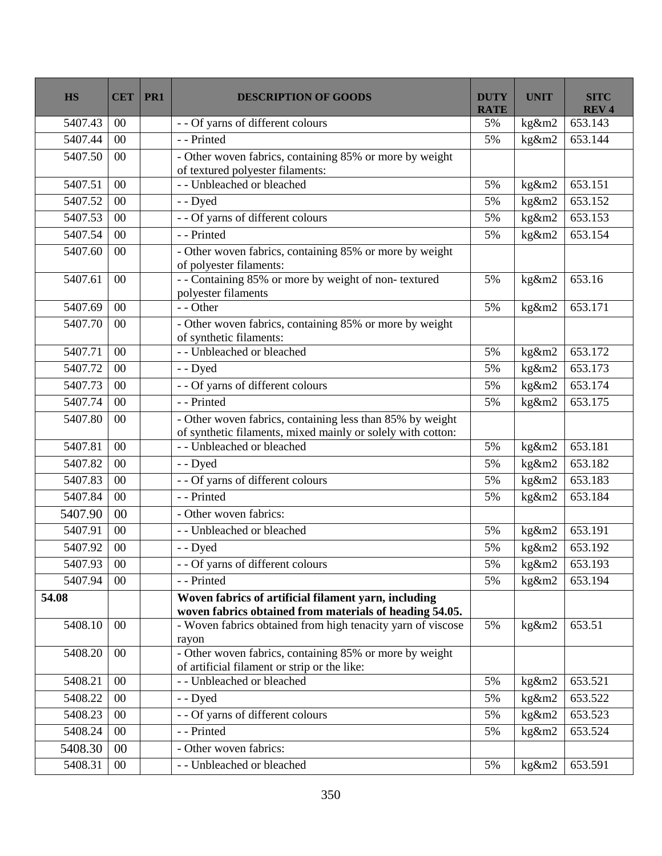| <b>HS</b>  | <b>CET</b> | PR1 | <b>DESCRIPTION OF GOODS</b>                                                                                              | <b>DUTY</b><br><b>RATE</b> | <b>UNIT</b>                | <b>SITC</b><br><b>REV4</b> |
|------------|------------|-----|--------------------------------------------------------------------------------------------------------------------------|----------------------------|----------------------------|----------------------------|
| 5407.43    | 00         |     | - - Of yarns of different colours                                                                                        | 5%                         | kg&m2                      | 653.143                    |
| 5407.44    | $00\,$     |     | - - Printed                                                                                                              | 5%                         | kg&m2                      | 653.144                    |
| 5407.50    | $00\,$     |     | - Other woven fabrics, containing 85% or more by weight<br>of textured polyester filaments:                              |                            |                            |                            |
| 5407.51    | 00         |     | - - Unbleached or bleached                                                                                               | 5%                         | kg&m2                      | 653.151                    |
| 5407.52    | 00         |     | - - Dyed                                                                                                                 | 5%                         | kg&m2                      | 653.152                    |
| 5407.53    | $00\,$     |     | - - Of yarns of different colours                                                                                        | 5%                         | kg&m2                      | 653.153                    |
| 5407.54    | $00\,$     |     | - - Printed                                                                                                              | 5%                         | kg&m2                      | 653.154                    |
| 5407.60    | $00\,$     |     | - Other woven fabrics, containing 85% or more by weight<br>of polyester filaments:                                       |                            |                            |                            |
| 5407.61    | 00         |     | -- Containing 85% or more by weight of non-textured<br>polyester filaments                                               | 5%                         | kg&m2                      | 653.16                     |
| 5407.69    | $00\,$     |     | - - Other                                                                                                                | 5%                         | kg&m2                      | 653.171                    |
| 5407.70    | $00\,$     |     | - Other woven fabrics, containing 85% or more by weight<br>of synthetic filaments:                                       |                            |                            |                            |
| 5407.71    | $00\,$     |     | - - Unbleached or bleached                                                                                               | 5%                         | kg&m2                      | 653.172                    |
| 5407.72    | 00         |     | - - Dyed                                                                                                                 | 5%                         | kg&m2                      | 653.173                    |
| 5407.73    | $00\,$     |     | - - Of yarns of different colours                                                                                        | 5%                         | kg&m2                      | 653.174                    |
| 5407.74    | 00         |     | - - Printed                                                                                                              | 5%                         | kg&m2                      | 653.175                    |
| 5407.80    | $00\,$     |     | - Other woven fabrics, containing less than 85% by weight<br>of synthetic filaments, mixed mainly or solely with cotton: |                            |                            |                            |
| 5407.81    | 00         |     | - - Unbleached or bleached                                                                                               | 5%                         | kg&m2                      | 653.181                    |
| 5407.82    | $00\,$     |     | - - Dyed                                                                                                                 | 5%                         | kg&m2                      | 653.182                    |
| 5407.83    | 00         |     | - - Of yarns of different colours                                                                                        | 5%                         | kg&m2                      | 653.183                    |
| 5407.84    | 00         |     | - - Printed                                                                                                              | 5%                         | kg&m2                      | 653.184                    |
| 5407.90    | 00         |     | - Other woven fabrics:                                                                                                   |                            |                            |                            |
| 5407.91    | 00         |     | - - Unbleached or bleached                                                                                               | 5%                         | kg&m2                      | 653.191                    |
| 5407.92    | $00\,$     |     | - - Dyed                                                                                                                 | 5%                         | kg&m2                      | 653.192                    |
| 5407.93 00 |            |     | - - Of yarns of different colours                                                                                        | 5%                         | $\overline{\text{kg}}$ &m2 | 653.193                    |
| 5407.94    | $00\,$     |     | - - Printed                                                                                                              | 5%                         | kg&m2                      | 653.194                    |
| 54.08      |            |     | Woven fabrics of artificial filament yarn, including<br>woven fabrics obtained from materials of heading 54.05.          |                            |                            |                            |
| 5408.10    | $00\,$     |     | - Woven fabrics obtained from high tenacity yarn of viscose<br>rayon                                                     | 5%                         | kg&m2                      | 653.51                     |
| 5408.20    | $00\,$     |     | - Other woven fabrics, containing 85% or more by weight<br>of artificial filament or strip or the like:                  |                            |                            |                            |
| 5408.21    | $00\,$     |     | - - Unbleached or bleached                                                                                               | 5%                         | kg&m2                      | 653.521                    |
| 5408.22    | $00\,$     |     | - - Dyed                                                                                                                 | 5%                         | kg&m2                      | 653.522                    |
| 5408.23    | $00\,$     |     | - - Of yarns of different colours                                                                                        | 5%                         | kg&m2                      | 653.523                    |
| 5408.24    | $00\,$     |     | - - Printed                                                                                                              | 5%                         | kg&m2                      | 653.524                    |
| 5408.30    | 00         |     | - Other woven fabrics:                                                                                                   |                            |                            |                            |
| 5408.31    | $00\,$     |     | - - Unbleached or bleached                                                                                               | 5%                         | kg&m2                      | 653.591                    |